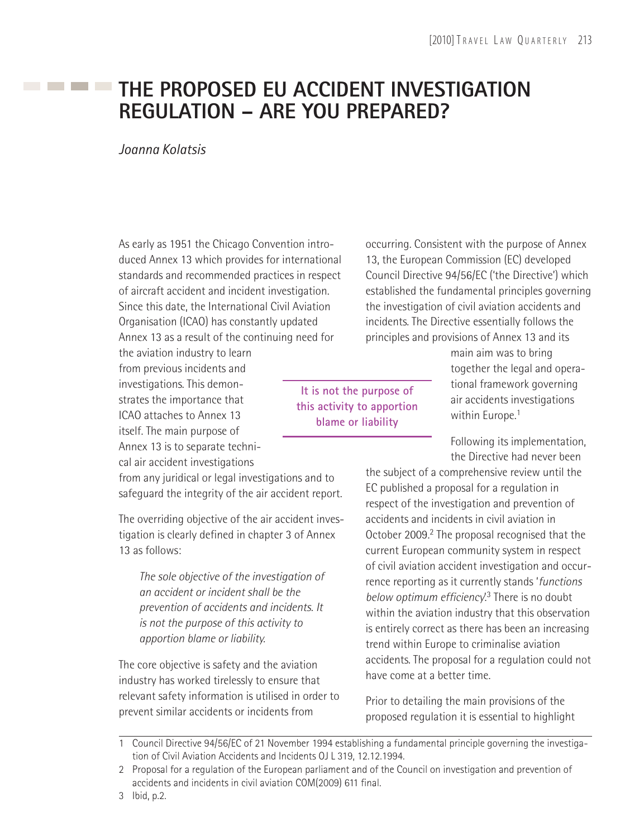# **THE PROPOSED EU ACCIDENT INVESTIGATION REGULATION – ARE YOU PREPARED?**

#### *Joanna Kolatsis*

As early as 1951 the Chicago Convention introduced Annex 13 which provides for international standards and recommended practices in respect of aircraft accident and incident investigation. Since this date, the International Civil Aviation Organisation (ICAO) has constantly updated Annex 13 as a result of the continuing need for

the aviation industry to learn from previous incidents and investigations. This demonstrates the importance that ICAO attaches to Annex 13 itself. The main purpose of Annex 13 is to separate technical air accident investigations

from any juridical or legal investigations and to safeguard the integrity of the air accident report.

The overriding objective of the air accident investigation is clearly defined in chapter 3 of Annex 13 as follows:

*The sole objective of the investigation of an accident or incident shall be the prevention of accidents and incidents. It is not the purpose of this activity to apportion blame or liability.*

The core objective is safety and the aviation industry has worked tirelessly to ensure that relevant safety information is utilised in order to prevent similar accidents or incidents from

occurring. Consistent with the purpose of Annex 13, the European Commission (EC) developed Council Directive 94/56/EC ('the Directive') which established the fundamental principles governing the investigation of civil aviation accidents and incidents. The Directive essentially follows the principles and provisions of Annex 13 and its

**It is not the purpose of this activity to apportion blame or liability**

main aim was to bring together the legal and operational framework governing air accidents investigations within Europe.<sup>1</sup>

Following its implementation, the Directive had never been

the subject of a comprehensive review until the EC published a proposal for a regulation in respect of the investigation and prevention of accidents and incidents in civil aviation in October 2009.<sup>2</sup> The proposal recognised that the current European community system in respect of civil aviation accident investigation and occurrence reporting as it currently stands '*functions below optimum efficiency*.<sup>3</sup> There is no doubt within the aviation industry that this observation is entirely correct as there has been an increasing trend within Europe to criminalise aviation accidents. The proposal for a regulation could not have come at a better time.

Prior to detailing the main provisions of the proposed regulation it is essential to highlight

<sup>1</sup> Council Directive 94/56/EC of 21 November 1994 establishing a fundamental principle governing the investigation of Civil Aviation Accidents and Incidents OJ L 319, 12.12.1994.

<sup>2</sup> Proposal for a regulation of the European parliament and of the Council on investigation and prevention of accidents and incidents in civil aviation COM(2009) 611 final.

<sup>3</sup> Ibid, p.2.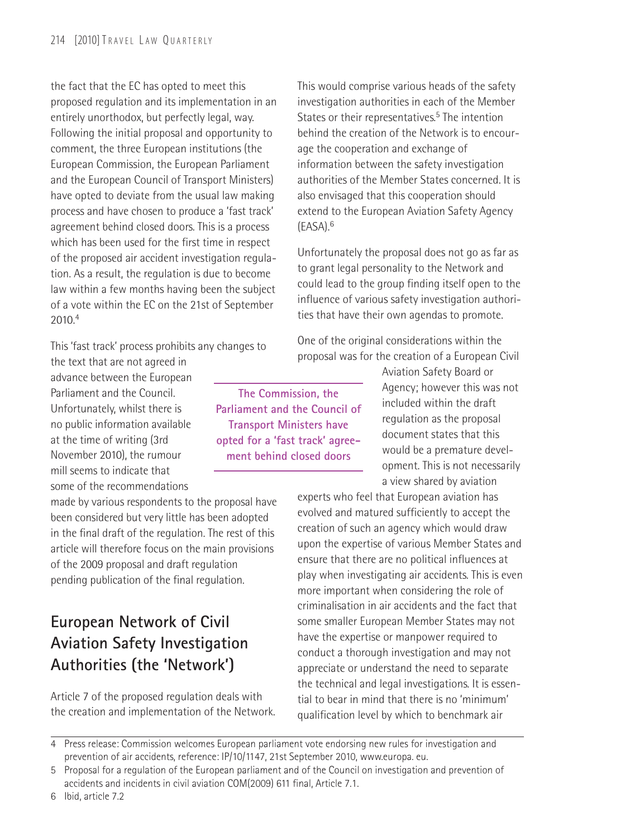the fact that the EC has opted to meet this proposed regulation and its implementation in an entirely unorthodox, but perfectly legal, way. Following the initial proposal and opportunity to comment, the three European institutions (the European Commission, the European Parliament and the European Council of Transport Ministers) have opted to deviate from the usual law making process and have chosen to produce a 'fast track' agreement behind closed doors. This is a process which has been used for the first time in respect of the proposed air accident investigation regulation. As a result, the regulation is due to become law within a few months having been the subject of a vote within the EC on the 21st of September 2010.4

This 'fast track' process prohibits any changes to

the text that are not agreed in advance between the European Parliament and the Council. Unfortunately, whilst there is no public information available at the time of writing (3rd November 2010), the rumour mill seems to indicate that some of the recommendations

made by various respondents to the proposal have been considered but very little has been adopted in the final draft of the regulation. The rest of this article will therefore focus on the main provisions of the 2009 proposal and draft regulation pending publication of the final regulation.

## **European Network of Civil Aviation Safety Investigation Authorities (the 'Network')**

Article 7 of the proposed regulation deals with the creation and implementation of the Network.

This would comprise various heads of the safety investigation authorities in each of the Member States or their representatives.<sup>5</sup> The intention behind the creation of the Network is to encourage the cooperation and exchange of information between the safety investigation authorities of the Member States concerned. It is also envisaged that this cooperation should extend to the European Aviation Safety Agency (EASA).6

Unfortunately the proposal does not go as far as to grant legal personality to the Network and could lead to the group finding itself open to the influence of various safety investigation authorities that have their own agendas to promote.

One of the original considerations within the proposal was for the creation of a European Civil

**The Commission, the Parliament and the Council of Transport Ministers have opted for a 'fast track' agreement behind closed doors**

Aviation Safety Board or Agency; however this was not included within the draft regulation as the proposal document states that this would be a premature development. This is not necessarily a view shared by aviation

experts who feel that European aviation has evolved and matured sufficiently to accept the creation of such an agency which would draw upon the expertise of various Member States and ensure that there are no political influences at play when investigating air accidents. This is even more important when considering the role of criminalisation in air accidents and the fact that some smaller European Member States may not have the expertise or manpower required to conduct a thorough investigation and may not appreciate or understand the need to separate the technical and legal investigations. It is essential to bear in mind that there is no 'minimum' qualification level by which to benchmark air

<sup>4</sup> Press release: Commission welcomes European parliament vote endorsing new rules for investigation and prevention of air accidents, reference: IP/10/1147, 21st September 2010, www.europa. eu.

<sup>5</sup> Proposal for a regulation of the European parliament and of the Council on investigation and prevention of accidents and incidents in civil aviation COM(2009) 611 final, Article 7.1.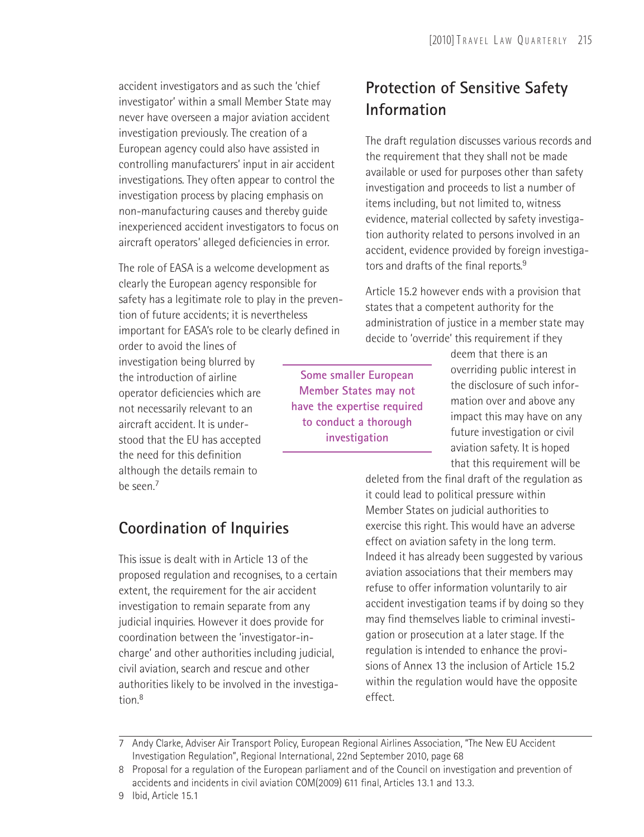accident investigators and as such the 'chief investigator' within a small Member State may never have overseen a major aviation accident investigation previously. The creation of a European agency could also have assisted in controlling manufacturers' input in air accident investigations. They often appear to control the investigation process by placing emphasis on non-manufacturing causes and thereby guide inexperienced accident investigators to focus on aircraft operators' alleged deficiencies in error.

The role of EASA is a welcome development as clearly the European agency responsible for safety has a legitimate role to play in the prevention of future accidents; it is nevertheless important for EASA's role to be clearly defined in

order to avoid the lines of investigation being blurred by the introduction of airline operator deficiencies which are not necessarily relevant to an aircraft accident. It is understood that the EU has accepted the need for this definition although the details remain to be seen.7

#### **Coordination of Inquiries**

This issue is dealt with in Article 13 of the proposed regulation and recognises, to a certain extent, the requirement for the air accident investigation to remain separate from any judicial inquiries. However it does provide for coordination between the 'investigator-incharge' and other authorities including judicial, civil aviation, search and rescue and other authorities likely to be involved in the investigation.8

#### **Protection of Sensitive Safety Information**

The draft regulation discusses various records and the requirement that they shall not be made available or used for purposes other than safety investigation and proceeds to list a number of items including, but not limited to, witness evidence, material collected by safety investigation authority related to persons involved in an accident, evidence provided by foreign investigators and drafts of the final reports.<sup>9</sup>

Article 15.2 however ends with a provision that states that a competent authority for the administration of justice in a member state may decide to 'override' this requirement if they

**Some smaller European Member States may not have the expertise required to conduct a thorough investigation**

deem that there is an overriding public interest in the disclosure of such information over and above any impact this may have on any future investigation or civil aviation safety. It is hoped that this requirement will be

deleted from the final draft of the regulation as it could lead to political pressure within Member States on judicial authorities to exercise this right. This would have an adverse effect on aviation safety in the long term. Indeed it has already been suggested by various aviation associations that their members may refuse to offer information voluntarily to air accident investigation teams if by doing so they may find themselves liable to criminal investigation or prosecution at a later stage. If the regulation is intended to enhance the provisions of Annex 13 the inclusion of Article 15.2 within the regulation would have the opposite effect.

<sup>7</sup> Andy Clarke, Adviser Air Transport Policy, European Regional Airlines Association, "The New EU Accident Investigation Regulation", Regional International, 22nd September 2010, page 68

<sup>8</sup> Proposal for a regulation of the European parliament and of the Council on investigation and prevention of accidents and incidents in civil aviation COM(2009) 611 final, Articles 13.1 and 13.3.

<sup>9</sup> Ibid, Article 15.1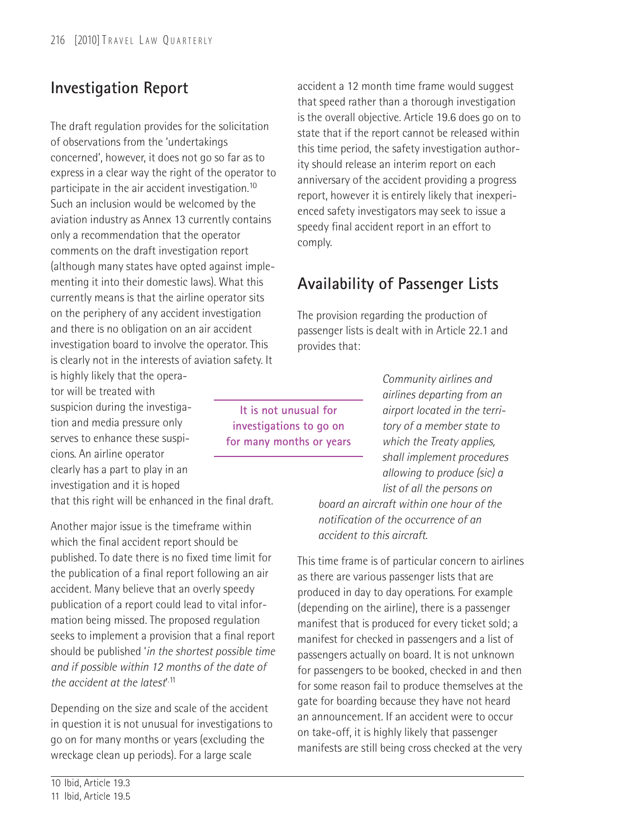### **Investigation Report**

The draft regulation provides for the solicitation of observations from the 'undertakings concerned', however, it does not go so far as to express in a clear way the right of the operator to participate in the air accident investigation.10 Such an inclusion would be welcomed by the aviation industry as Annex 13 currently contains only a recommendation that the operator comments on the draft investigation report (although many states have opted against implementing it into their domestic laws). What this currently means is that the airline operator sits on the periphery of any accident investigation and there is no obligation on an air accident investigation board to involve the operator. This is clearly not in the interests of aviation safety. It

is highly likely that the operator will be treated with suspicion during the investigation and media pressure only serves to enhance these suspicions. An airline operator clearly has a part to play in an investigation and it is hoped

that this right will be enhanced in the final draft.

Another major issue is the timeframe within which the final accident report should be published. To date there is no fixed time limit for the publication of a final report following an air accident. Many believe that an overly speedy publication of a report could lead to vital information being missed. The proposed regulation seeks to implement a provision that a final report should be published '*in the shortest possible time and if possible within 12 months of the date of the accident at the latest*' .11

Depending on the size and scale of the accident in question it is not unusual for investigations to go on for many months or years (excluding the wreckage clean up periods). For a large scale

accident a 12 month time frame would suggest that speed rather than a thorough investigation is the overall objective. Article 19.6 does go on to state that if the report cannot be released within this time period, the safety investigation authority should release an interim report on each anniversary of the accident providing a progress report, however it is entirely likely that inexperienced safety investigators may seek to issue a speedy final accident report in an effort to comply.

#### **Availability of Passenger Lists**

The provision regarding the production of passenger lists is dealt with in Article 22.1 and provides that:

**It is not unusual for investigations to go on for many months or years** *Community airlines and airlines departing from an airport located in the territory of a member state to which the Treaty applies, shall implement procedures allowing to produce (sic) a list of all the persons on*

*board an aircraft within one hour of the notification of the occurrence of an accident to this aircraft.*

This time frame is of particular concern to airlines as there are various passenger lists that are produced in day to day operations. For example (depending on the airline), there is a passenger manifest that is produced for every ticket sold; a manifest for checked in passengers and a list of passengers actually on board. It is not unknown for passengers to be booked, checked in and then for some reason fail to produce themselves at the gate for boarding because they have not heard an announcement. If an accident were to occur on take-off, it is highly likely that passenger manifests are still being cross checked at the very